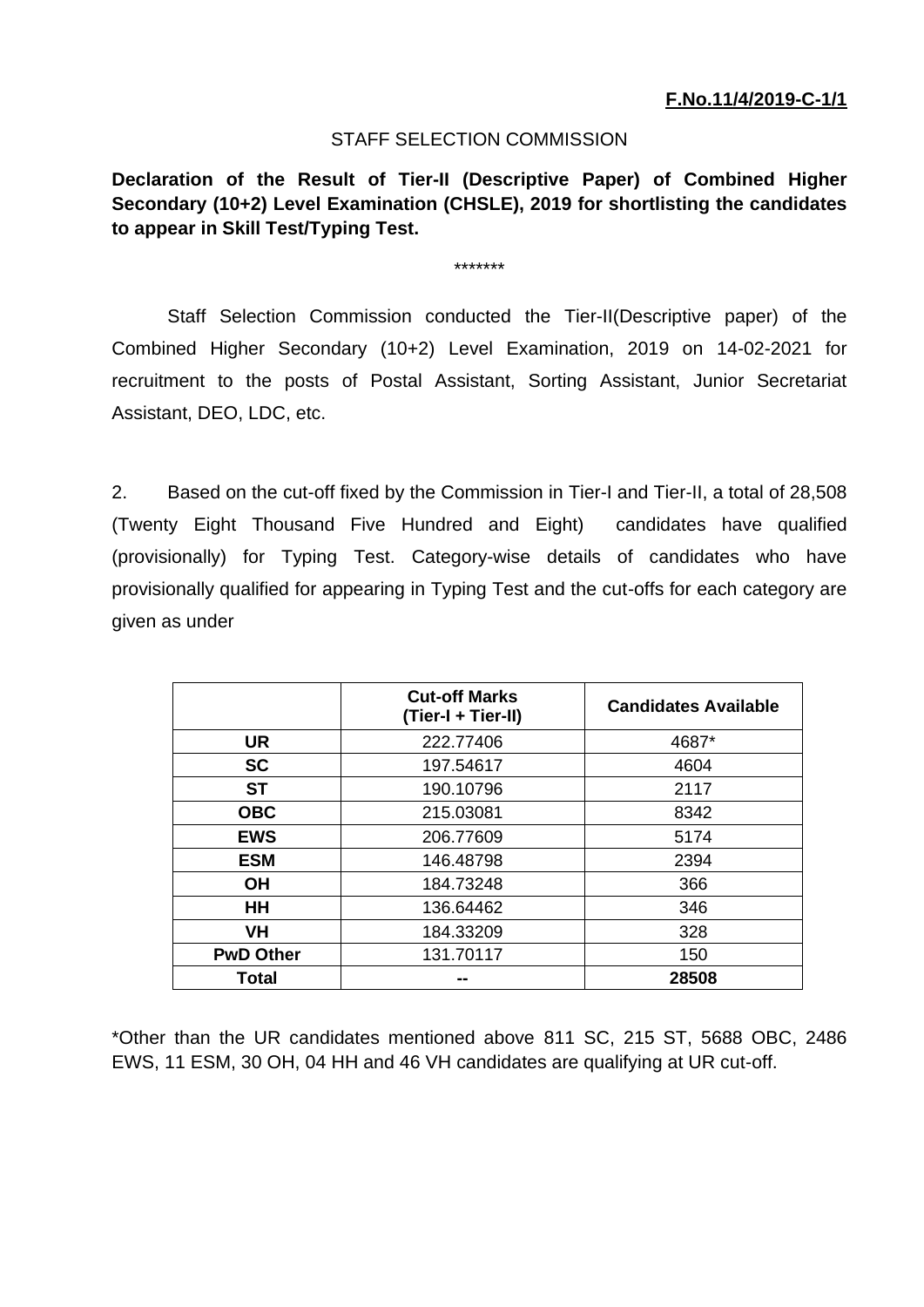## STAFF SELECTION COMMISSION

**Declaration of the Result of Tier-II (Descriptive Paper) of Combined Higher Secondary (10+2) Level Examination (CHSLE), 2019 for shortlisting the candidates to appear in Skill Test/Typing Test.**

\*\*\*\*\*\*\*

Staff Selection Commission conducted the Tier-II(Descriptive paper) of the Combined Higher Secondary (10+2) Level Examination, 2019 on 14-02-2021 for recruitment to the posts of Postal Assistant, Sorting Assistant, Junior Secretariat Assistant, DEO, LDC, etc.

2. Based on the cut-off fixed by the Commission in Tier-I and Tier-II, a total of 28,508 (Twenty Eight Thousand Five Hundred and Eight) candidates have qualified (provisionally) for Typing Test. Category-wise details of candidates who have provisionally qualified for appearing in Typing Test and the cut-offs for each category are given as under

|                  | <b>Cut-off Marks</b><br>(Tier-I + Tier-II) | <b>Candidates Available</b> |
|------------------|--------------------------------------------|-----------------------------|
| <b>UR</b>        | 222.77406                                  | 4687*                       |
| <b>SC</b>        | 197.54617                                  | 4604                        |
| <b>ST</b>        | 190.10796                                  | 2117                        |
| <b>OBC</b>       | 215.03081                                  | 8342                        |
| <b>EWS</b>       | 206.77609                                  | 5174                        |
| <b>ESM</b>       | 146.48798                                  | 2394                        |
| <b>OH</b>        | 184.73248                                  | 366                         |
| <b>HH</b>        | 136.64462                                  | 346                         |
| <b>VH</b>        | 184.33209                                  | 328                         |
| <b>PwD Other</b> | 131.70117                                  | 150                         |
| <b>Total</b>     | --                                         | 28508                       |

\*Other than the UR candidates mentioned above 811 SC, 215 ST, 5688 OBC, 2486 EWS, 11 ESM, 30 OH, 04 HH and 46 VH candidates are qualifying at UR cut-off.